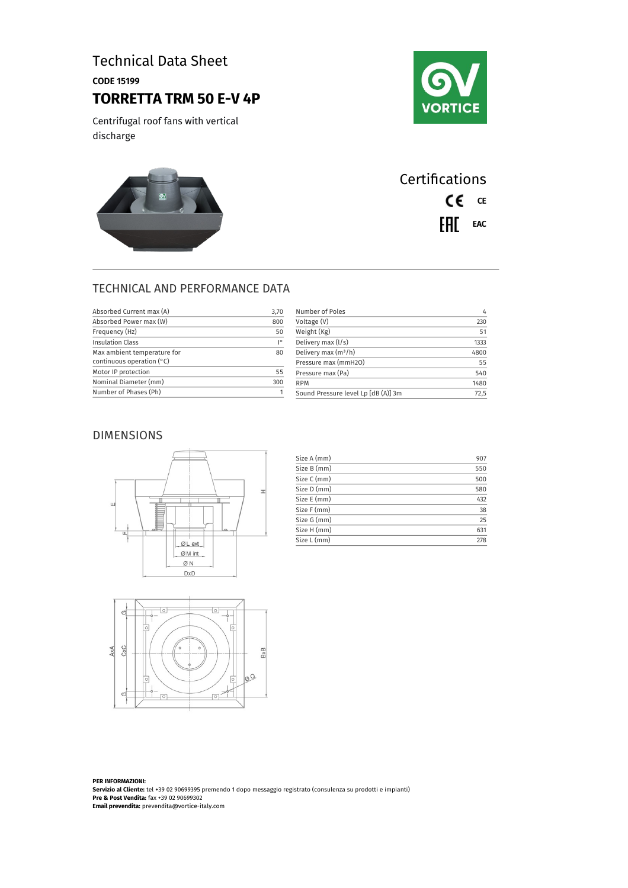# Technical Data Sheet

CODE 15199

# **TORRETTA TRM 50 E-V 4P**

Centrifugal roof fans with vertical discharge





| <b>Certifications</b> |  |  |
|-----------------------|--|--|
| CE CE                 |  |  |
| $F = F$               |  |  |

### TECHNICAL AND PERFORMANCE DATA

| Absorbed Current max (A)    | 3,70 | Number of Poles                     | $\frac{1}{2}$ |
|-----------------------------|------|-------------------------------------|---------------|
| Absorbed Power max (W)      | 800  | Voltage (V)                         | 230           |
| Frequency (Hz)              | 50   | Weight (Kg)                         | 51            |
| <b>Insulation Class</b>     | 10   | Delivery max (l/s)                  | 1333          |
| Max ambient temperature for | 80   | Delivery max $(m^3/h)$              | 4800          |
| continuous operation $(°C)$ |      | Pressure max (mmH2O)                | 55            |
| Motor IP protection         | 55   | Pressure max (Pa)                   | 540           |
| Nominal Diameter (mm)       | 300  | <b>RPM</b>                          | 1480          |
| Number of Phases (Ph)       |      | Sound Pressure level Lp [dB (A)] 3m | 72,5          |

#### DIMENSIONS



| Size A (mm) | 907 |
|-------------|-----|
| Size B (mm) | 550 |
| Size C (mm) | 500 |
| Size D (mm) | 580 |
| Size E (mm) | 432 |
| Size F (mm) | 38  |
| Size G (mm) | 25  |
| Size H (mm) | 631 |
| Size L (mm) | 278 |



**PER INFORMAZIONI: Servizio al Cliente:** tel +39 02 90699395 premendo 1 dopo messaggio registrato (consulenza su prodotti e impianti) **Pre & Post Vendita:** fax +39 02 90699302 **Email prevendita:** prevendita@vortice-italy.com